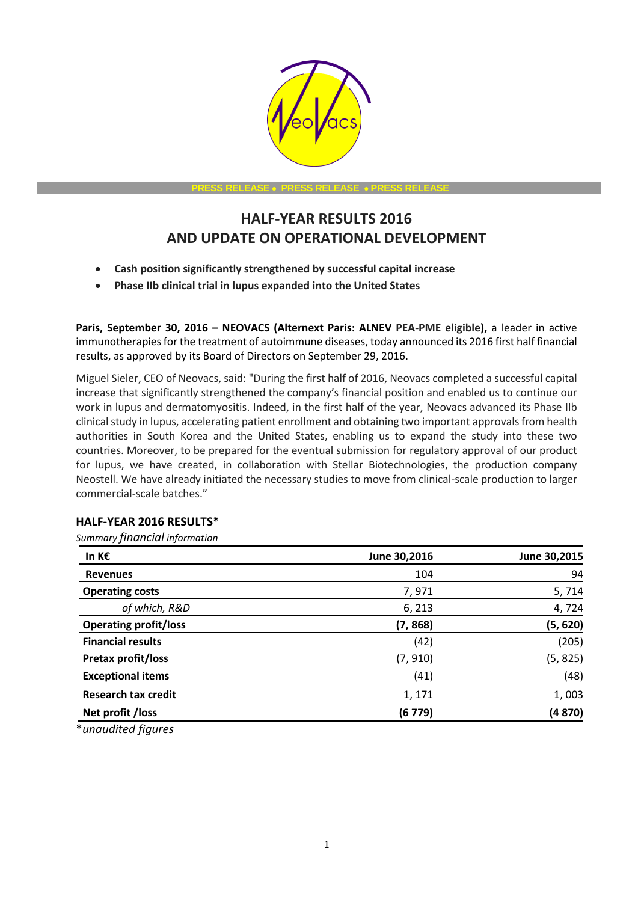

**PRESS RELEASE PRESS RELEASE PRESS RELEASE**

# **HALF-YEAR RESULTS 2016 AND UPDATE ON OPERATIONAL DEVELOPMENT**

- **Cash position significantly strengthened by successful capital increase**
- **Phase IIb clinical trial in lupus expanded into the United States**

**Paris, September 30, 2016 – NEOVACS (Alternext Paris: ALNEV PEA-PME eligible),** a leader in active immunotherapies for the treatment of autoimmune diseases, today announced its 2016 first half financial results, as approved by its Board of Directors on September 29, 2016.

Miguel Sieler, CEO of Neovacs, said: "During the first half of 2016, Neovacs completed a successful capital increase that significantly strengthened the company's financial position and enabled us to continue our work in lupus and dermatomyositis. Indeed, in the first half of the year, Neovacs advanced its Phase IIb clinical study in lupus, accelerating patient enrollment and obtaining two important approvals from health authorities in South Korea and the United States, enabling us to expand the study into these two countries. Moreover, to be prepared for the eventual submission for regulatory approval of our product for lupus, we have created, in collaboration with Stellar Biotechnologies, the production company Neostell. We have already initiated the necessary studies to move from clinical-scale production to larger commercial-scale batches."

## **HALF-YEAR 2016 RESULTS\***

*Summary financial information* 

| June 30,2016 | June 30,2015 |
|--------------|--------------|
| 104          | 94           |
| 7,971        | 5,714        |
| 6, 213       | 4,724        |
| (7, 868)     | (5, 620)     |
| (42)         | (205)        |
| (7, 910)     | (5, 825)     |
| (41)         | (48)         |
| 1, 171       | 1,003        |
| (6 779)      | (4870)       |
|              |              |

\**unaudited figures*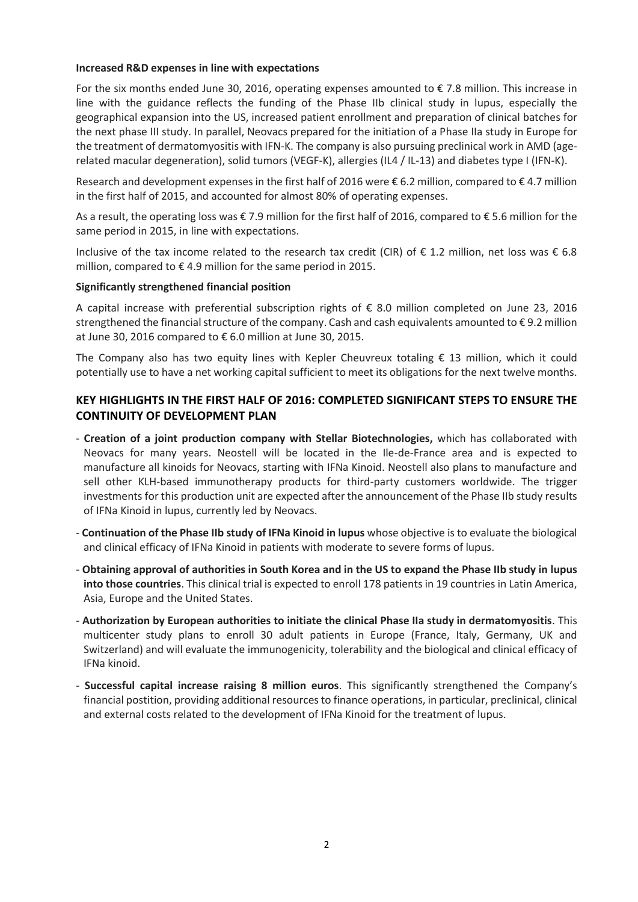#### **Increased R&D expenses in line with expectations**

For the six months ended June 30, 2016, operating expenses amounted to € 7.8 million. This increase in line with the guidance reflects the funding of the Phase IIb clinical study in lupus, especially the geographical expansion into the US, increased patient enrollment and preparation of clinical batches for the next phase III study. In parallel, Neovacs prepared for the initiation of a Phase IIa study in Europe for the treatment of dermatomyositis with IFN-K. The company is also pursuing preclinical work in AMD (agerelated macular degeneration), solid tumors (VEGF-K), allergies (IL4 / IL-13) and diabetes type I (IFN-K).

Research and development expenses in the first half of 2016 were € 6.2 million, compared to € 4.7 million in the first half of 2015, and accounted for almost 80% of operating expenses.

As a result, the operating loss was € 7.9 million for the first half of 2016, compared to € 5.6 million for the same period in 2015, in line with expectations.

Inclusive of the tax income related to the research tax credit (CIR) of € 1.2 million, net loss was € 6.8 million, compared to  $\epsilon$  4.9 million for the same period in 2015.

## **Significantly strengthened financial position**

A capital increase with preferential subscription rights of € 8.0 million completed on June 23, 2016 strengthened the financial structure of the company. Cash and cash equivalents amounted to € 9.2 million at June 30, 2016 compared to € 6.0 million at June 30, 2015.

The Company also has two equity lines with Kepler Cheuvreux totaling € 13 million, which it could potentially use to have a net working capital sufficient to meet its obligations for the next twelve months.

# **KEY HIGHLIGHTS IN THE FIRST HALF OF 2016: COMPLETED SIGNIFICANT STEPS TO ENSURE THE CONTINUITY OF DEVELOPMENT PLAN**

- **Creation of a joint production company with Stellar Biotechnologies,** which has collaborated with Neovacs for many years. Neostell will be located in the Ile-de-France area and is expected to manufacture all kinoids for Neovacs, starting with IFNa Kinoid. Neostell also plans to manufacture and sell other KLH-based immunotherapy products for third-party customers worldwide. The trigger investments for this production unit are expected after the announcement of the Phase IIb study results of IFNa Kinoid in lupus, currently led by Neovacs.
- **Continuation of the Phase IIb study of IFNa Kinoid in lupus** whose objective is to evaluate the biological and clinical efficacy of IFNa Kinoid in patients with moderate to severe forms of lupus.
- **Obtaining approval of authorities in South Korea and in the US to expand the Phase IIb study in lupus into those countries**. This clinical trial is expected to enroll 178 patients in 19 countries in Latin America, Asia, Europe and the United States.
- **Authorization by European authorities to initiate the clinical Phase IIa study in dermatomyositis**. This multicenter study plans to enroll 30 adult patients in Europe (France, Italy, Germany, UK and Switzerland) and will evaluate the immunogenicity, tolerability and the biological and clinical efficacy of IFNa kinoid.
- **Successful capital increase raising 8 million euros**. This significantly strengthened the Company's financial postition, providing additional resources to finance operations, in particular, preclinical, clinical and external costs related to the development of IFNa Kinoid for the treatment of lupus.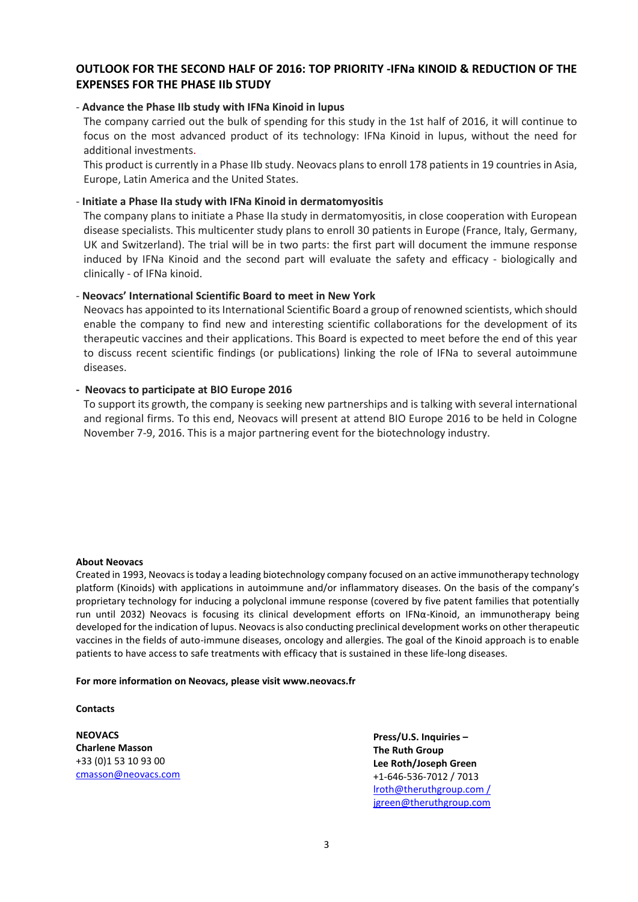## **OUTLOOK FOR THE SECOND HALF OF 2016: TOP PRIORITY -IFNa KINOID & REDUCTION OF THE EXPENSES FOR THE PHASE IIb STUDY**

## - **Advance the Phase IIb study with IFNa Kinoid in lupus**

The company carried out the bulk of spending for this study in the 1st half of 2016, it will continue to focus on the most advanced product of its technology: IFNa Kinoid in lupus, without the need for additional investments.

This product is currently in a Phase IIb study. Neovacs plans to enroll 178 patients in 19 countries in Asia, Europe, Latin America and the United States.

#### - **Initiate a Phase IIa study with IFNa Kinoid in dermatomyositis**

The company plans to initiate a Phase IIa study in dermatomyositis, in close cooperation with European disease specialists. This multicenter study plans to enroll 30 patients in Europe (France, Italy, Germany, UK and Switzerland). The trial will be in two parts: the first part will document the immune response induced by IFNa Kinoid and the second part will evaluate the safety and efficacy - biologically and clinically - of IFNa kinoid.

#### - **Neovacs' International Scientific Board to meet in New York**

Neovacs has appointed to its International Scientific Board a group of renowned scientists, which should enable the company to find new and interesting scientific collaborations for the development of its therapeutic vaccines and their applications. This Board is expected to meet before the end of this year to discuss recent scientific findings (or publications) linking the role of IFNa to several autoimmune diseases.

#### **- Neovacs to participate at BIO Europe 2016**

To support its growth, the company is seeking new partnerships and is talking with several international and regional firms. To this end, Neovacs will present at attend BIO Europe 2016 to be held in Cologne November 7-9, 2016. This is a major partnering event for the biotechnology industry.

#### **About Neovacs**

Created in 1993, Neovacs is today a leading biotechnology company focused on an active immunotherapy technology platform (Kinoids) with applications in autoimmune and/or inflammatory diseases. On the basis of the company's proprietary technology for inducing a polyclonal immune response (covered by five patent families that potentially run until 2032) Neovacs is focusing its clinical development efforts on IFNα-Kinoid, an immunotherapy being developed for the indication of lupus. Neovacs is also conducting preclinical development works on other therapeutic vaccines in the fields of auto-immune diseases, oncology and allergies. The goal of the Kinoid approach is to enable patients to have access to safe treatments with efficacy that is sustained in these life-long diseases.

#### **For more information on Neovacs, please visit www.neovacs.fr**

#### **Contacts**

**NEOVACS Charlene Masson** +33 (0)1 53 10 93 00 [cmasson@neovacs.com](mailto:cmasson@neovacs.com)

**Press/U.S. Inquiries – The Ruth Group Lee Roth/Joseph Green** +1-646-536-7012 / 7013 [lroth@theruthgroup.com](mailto:msollid@theruthgroup.com) / jgreen@theruthgroup.com